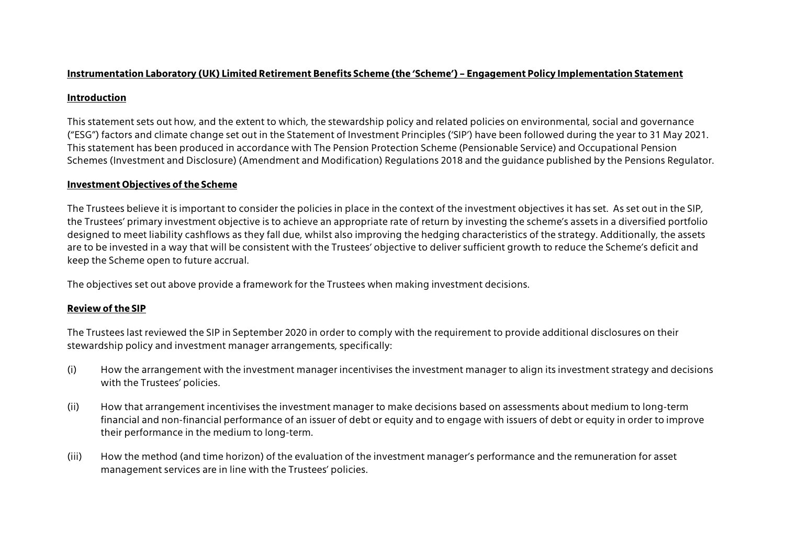## **Instrumentation Laboratory (UK) Limited Retirement Benefits Scheme (the 'Scheme') – Engagement Policy Implementation Statement**

## **Introduction**

This statement sets out how, and the extent to which, the stewardship policy and related policies on environmental, social and governance ("ESG") factors and climate change set out in the Statement of Investment Principles ('SIP') have been followed during the year to 31 May 2021. This statement has been produced in accordance with The Pension Protection Scheme (Pensionable Service) and Occupational Pension Schemes (Investment and Disclosure) (Amendment and Modification) Regulations 2018 and the guidance published by the Pensions Regulator.

# **Investment Objectives of the Scheme**

The Trustees believe it is important to consider the policies in place in the context of the investment objectives it has set. As set out in the SIP, the Trustees' primary investment objective is to achieve an appropriate rate of return by investing the scheme's assets in a diversified portfolio designed to meet liability cashflows as they fall due, whilst also improving the hedging characteristics of the strategy. Additionally, the assets are to be invested in a way that will be consistent with the Trustees' objective to deliver sufficient growth to reduce the Scheme's deficit and keep the Scheme open to future accrual.

The objectives set out above provide a framework for the Trustees when making investment decisions.

# **Review of the SIP**

The Trustees last reviewed the SIP in September 2020 in order to comply with the requirement to provide additional disclosures on their stewardship policy and investment manager arrangements, specifically:

- (i) How the arrangement with the investment manager incentivises the investment manager to align its investment strategy and decisions with the Trustees' policies.
- (ii) How that arrangement incentivises the investment manager to make decisions based on assessments about medium to long-term financial and non-financial performance of an issuer of debt or equity and to engage with issuers of debt or equity in order to improve their performance in the medium to long-term.
- (iii) How the method (and time horizon) of the evaluation of the investment manager's performance and the remuneration for asset management services are in line with the Trustees' policies.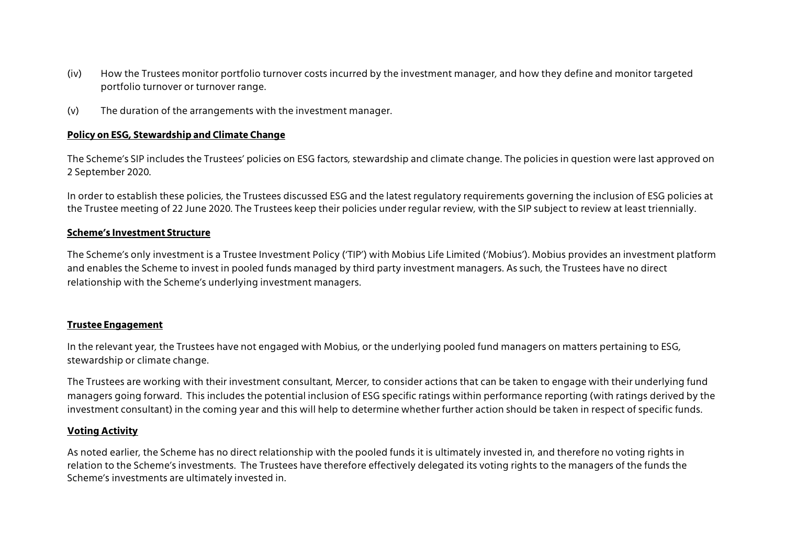- (iv) How the Trustees monitor portfolio turnover costs incurred by the investment manager, and how they define and monitor targeted portfolio turnover or turnover range.
- (v) The duration of the arrangements with the investment manager.

## **Policy on ESG, Stewardship and Climate Change**

The Scheme's SIP includes the Trustees' policies on ESG factors, stewardship and climate change. The policies in question were last approved on 2 September 2020.

In order to establish these policies, the Trustees discussed ESG and the latest regulatory requirements governing the inclusion of ESG policies at the Trustee meeting of 22 June 2020. The Trustees keep their policies under regular review, with the SIP subject to review at least triennially.

### **Scheme's Investment Structure**

The Scheme's only investment is a Trustee Investment Policy ('TIP') with Mobius Life Limited ('Mobius'). Mobius provides an investment platform and enables the Scheme to invest in pooled funds managed by third party investment managers. As such, the Trustees have no direct relationship with the Scheme's underlying investment managers.

### **Trustee Engagement**

In the relevant year, the Trustees have not engaged with Mobius, or the underlying pooled fund managers on matters pertaining to ESG, stewardship or climate change.

The Trustees are working with their investment consultant, Mercer, to consider actions that can be taken to engage with their underlying fund managers going forward. This includes the potential inclusion of ESG specific ratings within performance reporting (with ratings derived by the investment consultant) in the coming year and this will help to determine whether further action should be taken in respect of specific funds.

### **Voting Activity**

As noted earlier, the Scheme has no direct relationship with the pooled funds it is ultimately invested in, and therefore no voting rights in relation to the Scheme's investments. The Trustees have therefore effectively delegated its voting rights to the managers of the funds the Scheme's investments are ultimately invested in.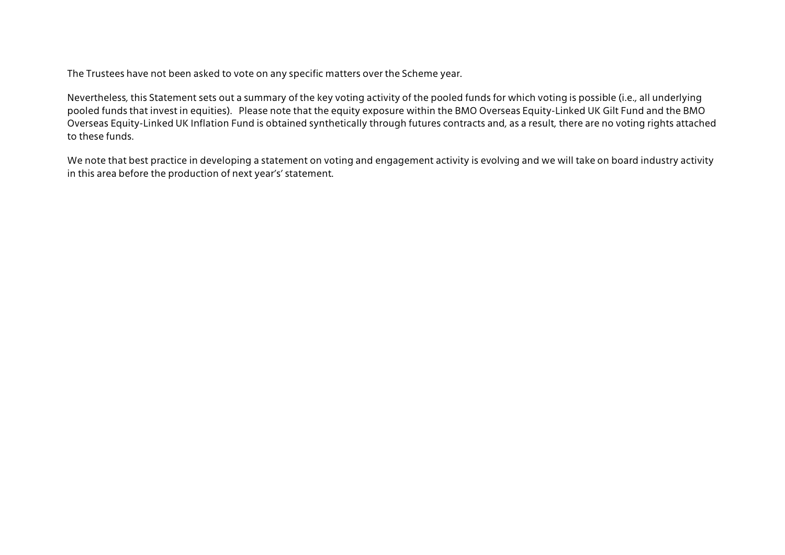The Trustees have not been asked to vote on any specific matters over the Scheme year.

Nevertheless, this Statement sets out a summary of the key voting activity of the pooled funds for which voting is possible (i.e., all underlying pooled funds that invest in equities). Please note that the equity exposure within the BMO Overseas Equity-Linked UK Gilt Fund and the BMO Overseas Equity-Linked UK Inflation Fund is obtained synthetically through futures contracts and, as a result, there are no voting rights attached to these funds.

We note that best practice in developing a statement on voting and engagement activity is evolving and we will take on board industry activity in this area before the production of next year's' statement.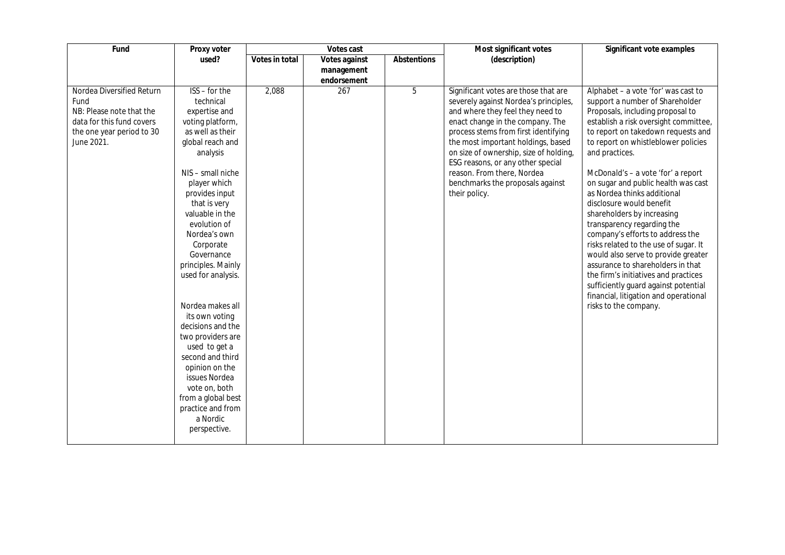| used?<br>(description)<br>Votes in total<br>Abstentions<br>Votes against<br>management<br>endorsement<br>Nordea Diversified Return<br>$ISS$ – for the<br>$\overline{267}$<br>5<br>2,088<br>Significant votes are those that are<br>Fund<br>technical<br>severely against Nordea's principles,<br>NB: Please note that the<br>expertise and<br>and where they feel they need to<br>enact change in the company. The<br>data for this fund covers<br>voting platform,<br>as well as their<br>process stems from first identifying<br>the one year period to 30<br>the most important holdings, based<br>June 2021.<br>global reach and<br>on size of ownership, size of holding,<br>and practices.<br>analysis<br>ESG reasons, or any other special<br>NIS - small niche<br>reason. From there, Nordea<br>benchmarks the proposals against<br>player which<br>as Nordea thinks additional<br>provides input<br>their policy.<br>that is very<br>disclosure would benefit<br>valuable in the<br>shareholders by increasing<br>evolution of<br>transparency regarding the<br>Nordea's own<br>Corporate<br>Governance<br>principles. Mainly<br>used for analysis.<br>Nordea makes all<br>risks to the company.<br>its own voting<br>decisions and the<br>two providers are<br>used to get a<br>second and third | Fund | Proxy voter    | Votes cast |  |  | Most significant votes | Significant vote examples                                                                                                                                                                                                                                                                                                                                                                                                                                                                                                                                                                       |
|------------------------------------------------------------------------------------------------------------------------------------------------------------------------------------------------------------------------------------------------------------------------------------------------------------------------------------------------------------------------------------------------------------------------------------------------------------------------------------------------------------------------------------------------------------------------------------------------------------------------------------------------------------------------------------------------------------------------------------------------------------------------------------------------------------------------------------------------------------------------------------------------------------------------------------------------------------------------------------------------------------------------------------------------------------------------------------------------------------------------------------------------------------------------------------------------------------------------------------------------------------------------------------------------------------|------|----------------|------------|--|--|------------------------|-------------------------------------------------------------------------------------------------------------------------------------------------------------------------------------------------------------------------------------------------------------------------------------------------------------------------------------------------------------------------------------------------------------------------------------------------------------------------------------------------------------------------------------------------------------------------------------------------|
|                                                                                                                                                                                                                                                                                                                                                                                                                                                                                                                                                                                                                                                                                                                                                                                                                                                                                                                                                                                                                                                                                                                                                                                                                                                                                                            |      |                |            |  |  |                        |                                                                                                                                                                                                                                                                                                                                                                                                                                                                                                                                                                                                 |
|                                                                                                                                                                                                                                                                                                                                                                                                                                                                                                                                                                                                                                                                                                                                                                                                                                                                                                                                                                                                                                                                                                                                                                                                                                                                                                            |      |                |            |  |  |                        |                                                                                                                                                                                                                                                                                                                                                                                                                                                                                                                                                                                                 |
| issues Nordea<br>vote on, both<br>from a global best<br>practice and from<br>a Nordic<br>perspective.                                                                                                                                                                                                                                                                                                                                                                                                                                                                                                                                                                                                                                                                                                                                                                                                                                                                                                                                                                                                                                                                                                                                                                                                      |      | opinion on the |            |  |  |                        | Alphabet - a vote 'for' was cast to<br>support a number of Shareholder<br>Proposals, including proposal to<br>establish a risk oversight committee,<br>to report on takedown requests and<br>to report on whistleblower policies<br>McDonald's - a vote 'for' a report<br>on sugar and public health was cast<br>company's efforts to address the<br>risks related to the use of sugar. It<br>would also serve to provide greater<br>assurance to shareholders in that<br>the firm's initiatives and practices<br>sufficiently guard against potential<br>financial, litigation and operational |